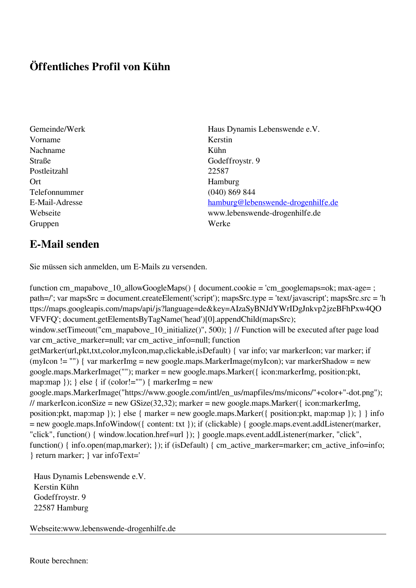## **Öffentliches Profil von Kühn**

- Vorname Kerstin Nachname Kühn Straße Godeffroystr. 9 Postleitzahl 22587 Ort Hamburg Telefonnummer (040) 869 844 Gruppen Werke
- Gemeinde/Werk Haus Dynamis Lebenswende e.V. E-Mail-Adresse [hamburg@lebenswende-drogenhilfe.de](mailto:hamburg@lebenswende-drogenhilfe.de) Webseite www.lebenswende-drogenhilfe.de

## **E-Mail senden**

Sie müssen sich anmelden, um E-Mails zu versenden.

function cm\_mapabove\_10\_allowGoogleMaps() { document.cookie = 'cm\_googlemaps=ok; max-age= ; path=/'; var mapsSrc = document.createElement('script'); mapsSrc.type = 'text/javascript'; mapsSrc.src = 'h ttps://maps.googleapis.com/maps/api/js?language=de&key=AIzaSyBNJdYWrIDgJnkvp2jzeBFhPxw4QO VFVFQ'; document.getElementsByTagName('head')[0].appendChild(mapsSrc); window.setTimeout("cm\_mapabove\_10\_initialize()", 500); } // Function will be executed after page load var cm\_active\_marker=null; var cm\_active\_info=null; function getMarker(url,pkt,txt,color,myIcon,map,clickable,isDefault) { var info; var markerIcon; var marker; if (myIcon != "") { var markerImg = new google.maps.MarkerImage(myIcon); var markerShadow = new google.maps.MarkerImage(""); marker = new google.maps.Marker({ icon:markerImg, position:pkt, map:map  $\}$ ;  $\}$  else  $\{$  if (color!="")  $\{$  markerImg = new google.maps.MarkerImage("https://www.google.com/intl/en\_us/mapfiles/ms/micons/"+color+"-dot.png"); // markerIcon.iconSize = new GSize(32,32); marker = new google.maps.Marker({ $i$ con:markerImg, position:pkt, map:map }); } else { marker = new google.maps.Marker({ position:pkt, map:map }); } } info = new google.maps.InfoWindow({ content: txt }); if (clickable) { google.maps.event.addListener(marker, "click", function() { window.location.href=url }); } google.maps.event.addListener(marker, "click", function() { info.open(map,marker); }); if (isDefault) { cm\_active\_marker=marker; cm\_active\_info=info; } return marker; } var infoText='

 Haus Dynamis Lebenswende e.V. Kerstin Kühn Godeffroystr. 9 22587 Hamburg

Webseite:www.lebenswende-drogenhilfe.de